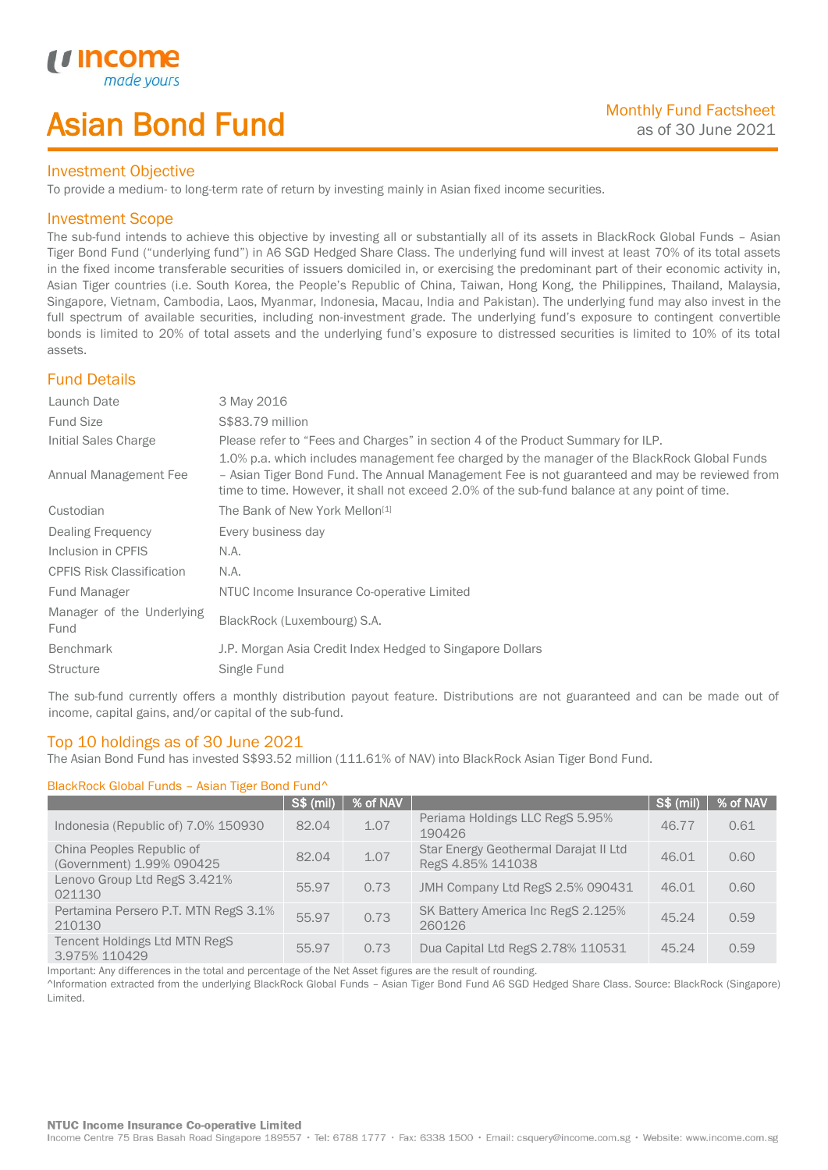# Asian Bond Fund

### Investment Objective

To provide a medium- to long-term rate of return by investing mainly in Asian fixed income securities.

## Investment Scope

*u* incom

I

The sub-fund intends to achieve this objective by investing all or substantially all of its assets in BlackRock Global Funds – Asian Tiger Bond Fund ("underlying fund") in A6 SGD Hedged Share Class. The underlying fund will invest at least 70% of its total assets in the fixed income transferable securities of issuers domiciled in, or exercising the predominant part of their economic activity in, Asian Tiger countries (i.e. South Korea, the People's Republic of China, Taiwan, Hong Kong, the Philippines, Thailand, Malaysia, Singapore, Vietnam, Cambodia, Laos, Myanmar, Indonesia, Macau, India and Pakistan). The underlying fund may also invest in the full spectrum of available securities, including non-investment grade. The underlying fund's exposure to contingent convertible bonds is limited to 20% of total assets and the underlying fund's exposure to distressed securities is limited to 10% of its total assets.

## Fund Details

| Launch Date                       | 3 May 2016                                                                                                                                                                                                                                                                                     |
|-----------------------------------|------------------------------------------------------------------------------------------------------------------------------------------------------------------------------------------------------------------------------------------------------------------------------------------------|
| <b>Fund Size</b>                  | S\$83.79 million                                                                                                                                                                                                                                                                               |
| Initial Sales Charge              | Please refer to "Fees and Charges" in section 4 of the Product Summary for ILP.                                                                                                                                                                                                                |
| Annual Management Fee             | 1.0% p.a. which includes management fee charged by the manager of the BlackRock Global Funds<br>- Asian Tiger Bond Fund. The Annual Management Fee is not guaranteed and may be reviewed from<br>time to time. However, it shall not exceed 2.0% of the sub-fund balance at any point of time. |
| Custodian                         | The Bank of New York Mellon <sup>[1]</sup>                                                                                                                                                                                                                                                     |
| Dealing Frequency                 | Every business day                                                                                                                                                                                                                                                                             |
| Inclusion in CPFIS                | N.A.                                                                                                                                                                                                                                                                                           |
| <b>CPFIS Risk Classification</b>  | N.A.                                                                                                                                                                                                                                                                                           |
| Fund Manager                      | NTUC Income Insurance Co-operative Limited                                                                                                                                                                                                                                                     |
| Manager of the Underlying<br>Fund | BlackRock (Luxembourg) S.A.                                                                                                                                                                                                                                                                    |
| <b>Benchmark</b>                  | J.P. Morgan Asia Credit Index Hedged to Singapore Dollars                                                                                                                                                                                                                                      |
| <b>Structure</b>                  | Single Fund                                                                                                                                                                                                                                                                                    |

The sub-fund currently offers a monthly distribution payout feature. Distributions are not guaranteed and can be made out of income, capital gains, and/or capital of the sub-fund.

## Top 10 holdings as of 30 June 2021

The Asian Bond Fund has invested S\$93.52 million (111.61% of NAV) into BlackRock Asian Tiger Bond Fund.

### BlackRock Global Funds – Asian Tiger Bond Fund^

|                                                        | <b>S\$ (mil)</b> | % of NAV |                                                            | <b>S\$ (mil)</b> | % of NAV |
|--------------------------------------------------------|------------------|----------|------------------------------------------------------------|------------------|----------|
| Indonesia (Republic of) 7.0% 150930                    | 82.04            | 1.07     | Periama Holdings LLC RegS 5.95%<br>190426                  | 46.77            | 0.61     |
| China Peoples Republic of<br>(Government) 1.99% 090425 | 82.04            | 1.07     | Star Energy Geothermal Darajat II Ltd<br>RegS 4.85% 141038 | 46.01            | 0.60     |
| Lenovo Group Ltd RegS 3.421%<br>021130                 | 55.97            | 0.73     | JMH Company Ltd RegS 2.5% 090431                           | 46.01            | 0.60     |
| Pertamina Persero P.T. MTN RegS 3.1%<br>210130         | 55.97            | 0.73     | SK Battery America Inc RegS 2.125%<br>260126               | 45.24            | 0.59     |
| <b>Tencent Holdings Ltd MTN RegS</b><br>3.975% 110429  | 55.97            | 0.73     | Dua Capital Ltd RegS 2.78% 110531                          | 45.24            | 0.59     |

Important: Any differences in the total and percentage of the Net Asset figures are the result of rounding.

^Information extracted from the underlying BlackRock Global Funds – Asian Tiger Bond Fund A6 SGD Hedged Share Class. Source: BlackRock (Singapore) Limited.

#### **NTUC Income Insurance Co-operative Limited**

Income Centre 75 Bras Basah Road Singapore 189557 · Tel: 6788 1777 · Fax: 6338 1500 · Email: csquery@income.com.sg · Website: www.income.com.sg